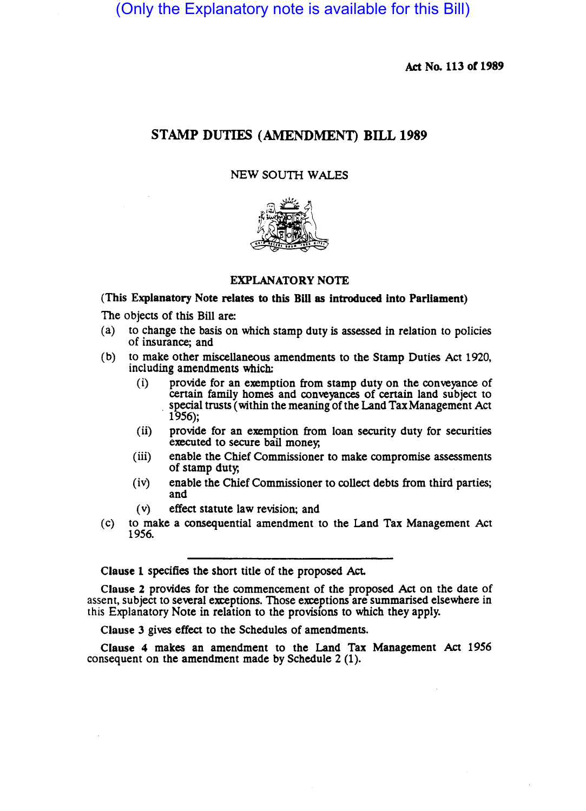(Only the Explanatory note is available for this Bill)

Act No. 113 of 1989

# STAMP DUTIES (AMENDMENT) BILL 1989

## NEW SOUTH WALES



#### EXPLANATORY NOTE

## (This Explanatory Note relates to this Bill as introduced into Parliament)

The objects of this Bill are:

- (a) to change the basis on which stamp duty is assessed in relation to policies of insurance; and
- (b) to make other miscellaneous amendments to the Stamp Duties Act 1920, including amendments which:
	- (i) provide for an exemption from stamp duty on the conveyance of special trusts (within the meaning of the Land Tax Management Act 1956);
	- (ii) provide for an exemption from loan security duty for securities executed to secure bail money;
	- (iii) enable the Chief Commissioner to make compromise assessments of stamp duty;
	- (iv) enable the Chief Commissioner to collect debts from third panies; and
	- (v) effect statute law revision; and
- (c) to make a consequential amendment to the Land Tax Management Act 1956.

Clause 1 specifies the short title of the proposed Act.

Clause 2 provides for the commencement of the proposed Act on the date of assent, subject to several exceptions. Those exceptions are summarised elsewhere in this Explanatory Note in relation to the provisiOns to which they apply.

Clause 3 gives effect to the Schedules of amendments.

Clause 4 makes an amendment to the Land Tax Management Act 1956 consequent on the amendment made by Schedule 2 (1).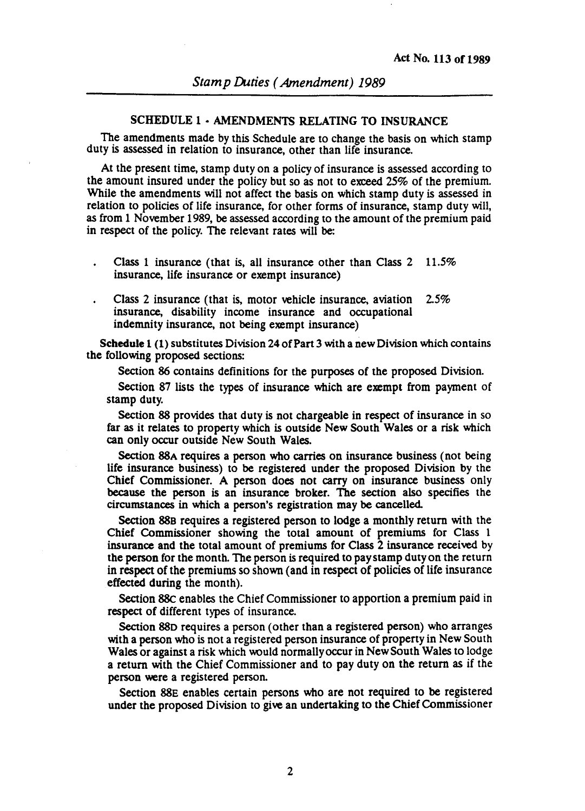#### SCHEDULE 1 • AMENDMENTS RELATING TO INSURANCE

The amendments made by this Schedule are to change the basis on which stamp duty is assessed in relation to insurance, other than life insurance.

At the present time, stamp duty on a policy of insurance is assessed according to the amount insured under the policy but so as not to exceed 25% of the premium. While the amendments will not affect the basis on which stamp duty is assessed in relation to policies of life insurance, for other forms of insurance, stamp duty will, as from 1 November 1989, be assessed according to the amount of the premium paid in respect of the policy. The relevant rates will be:

Class 1 insurance (that is, all insurance other than Class 2 11.5% insurance, life insurance or exempt insurance)

Class 2 insurance (that is, motor vehicle insurance, aviation 25% insurance, disability income insurance and occupational indemnity insurance, not being exempt insurance)

Schedule 1 (1) substitutes Division 24 of Part 3 with a new Division which contains the follOwing proposed sections:

Section 86 contains definitions for the purposes of the proposed Division.

Section 87 lists the types of insurance which are exempt from payment of stamp duty.

Section 88 provides that duty is not chargeable in respect of insurance in so far as it relates to property which is outside New South Wales or a risk which can only occur outside New South Wales.

Section 88A requires a person who carries on insurance business (not being life insurance business) to be registered under the proposed Division by the Chief Commissioner. A person does not carry on insurance business only because the person is an insurance broker. The section also specifies the circumstances in which a person's registration may be cancelled.

Section 888 requires a registered person to lodge a monthly return with the Chief Commissioner showing the total amount of premiums for Class 1 insurance and the total amount of premiums for Class 2 insurance received by the person for the month. The person is required to pay stamp duty on the return in respect of the premiums so shown (and in respect of policies of life insurance effected during the month).

Section 88c enables the Chief Commissioner to apportion a premium paid in respect of different types of insurance.

Section 880 requires a person (other than a registered person) who arranges with a person who is not a registered person insurance of property in New South Wales or against a risk which would normally occur in New South Wales to lodge a return with the Chief Commissioner and to pay duty on the return as if the person were a registered person.

Section 88E enables certain persons who are not required to be registered under the proposed Division to give an undertaking to the Chief Commissioner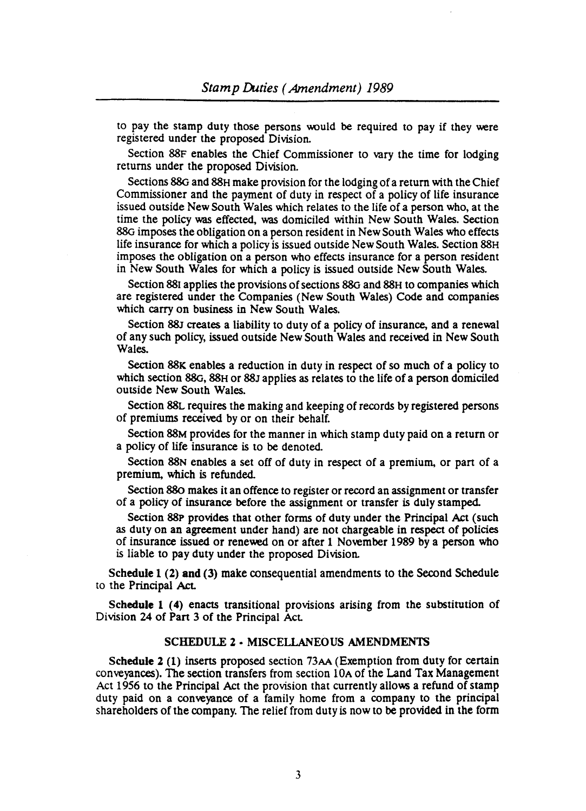to pay the stamp duty those persons would be required to pay if they were registered under the proposed Division.

Section 88F enables the Chief Commissioner to vary the time for lodging returns under the proposed Division.

Sections 88G and 88H make provision for the lodging of a return with the Chief Commissioner and the payment of duty in respect of a policy of life insurance issued outside New South Wales which relates to the life of a person who, at the time the policy was effected, was domiciled within New South Wales. Section 88G imposes the obligation on a person resident in New South Wales who effects life insurance for which a policy is issued outside New South Wales. Section 88H imposes the obligation on a person who effects insurance for a person resident in New South Wales for which a policy is issued outside New South Wales.

Section 881 applies the provisions of sections 88G and 88H to companies which are registered under the Companies (New South Wales) Code and companies which carry on business in New South Wales.

Section 88J creates a liability to duty of a policy of insurance, and a renewal of any such policy, issued outside New South Wales and received in New South Wales.

Section 88K enables a reduction in duty in respect of so much of a policy to which section 88G, 88H or 88J applies as relates to the life of a person domiciled outside New South Wales.

Section 88L requires the making and keeping of records by registered persons of premiums received by or on their behalf.

Section 88M provides for the manner in which stamp duty paid on a return or a policy of life insurance is to be denoted.

Section 88N enables a set off of duty in respect of a premium, or part of a premium, which is refunded.

Section 880 makes it an offence to register or record an assignment or transfer of a policy of insurance before the assignment or transfer is duly stamped.

Section 88P provides that other forms of duty under the Principal Act (such as duty on an agreement under hand) are not chargeable in respect of policies of insurance issued or renewed on or after 1 November 1989 by a person who is liable to pay duty under the proposed Division.

Schedule 1 (2) and (3) make consequential amendments to the Second Schedule to the Principal Act.

Schedule 1 (4) enacts transitional provisions arising from the substitution of Division 24 of Part 3 of the Principal Act.

## SCHEDULE 2 - MISCELLANEOUS AMENDMENTS

Schedule 2 (1) inserts proposed section 73AA (Exemption from duty for certain conveyances). The section transfers from section lOA of the Land Tax Management Act 1956 to the Principal Act the provision that currently allows a refund of stamp duty paid on a conveyance of a family home from a company to the principal shareholders of the company. The relief from duty is now to be provided in the form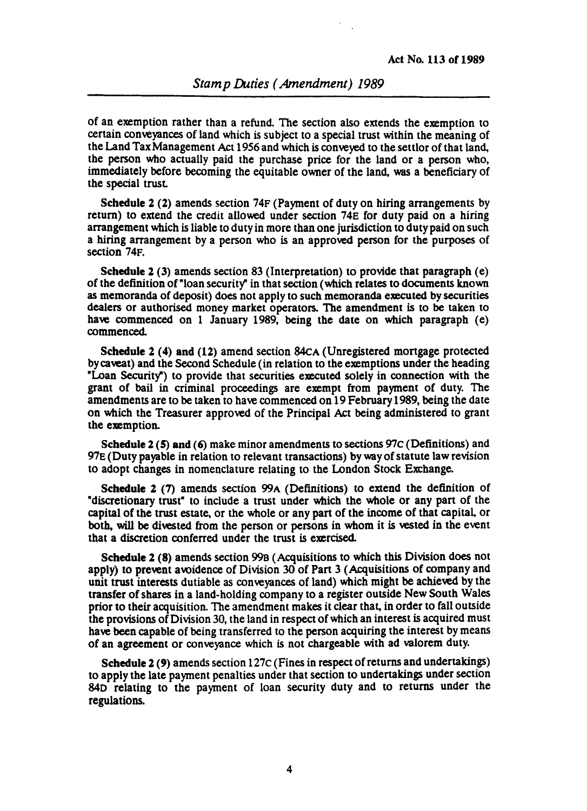of an exemption rather than a refund. The section also extends the exemption to certain conveyances of land which is subject to a special trust within the meaning of the Land Tax Management Act 1956 and which is conveyed to the settlor of that land, the person who actually paid the purchase price for the land or a person who, immediately before becoming the equitable owner of the land, was a beneficiary of the special trust

Schedule 2 (2) amends section 74F (Payment of duty on hiring arrangements by return) to extend the credit allowed under section 74E for duty paid on a hiring arrangement which is liable to duty in more than one jurisdiction to duty paid on such a hiring arrangement by a person who is an approved person for the purposes of section 74F.

Schedule 2 (3) amends section 83 (Interpretation) to provide that paragraph (e) of the definition of "loan security" in that section (which relates to documents known as memoranda of deposit) does not apply to such memoranda executed by securities dealers or authorised money market operators. The amendment is to be taken to have commenced on 1 January 1989, being the date on which paragraph (e) commenced.

Schedule 2 (4) and (l2) amend section 84cA (Unregistered mongage protected by caveat) and the Second Schedule (in relation to the exemptions under the heading "Loan Security") to provide that securities executed solely in connection with the grant of bail in criminal proceedings are exempt from payment of duty. The amendments are to be taken to have commenced on 19 February 1989, being the date on which the Treasurer approved of the Principal Act being administered to grant the exemption.

Schedule  $2(5)$  and  $(6)$  make minor amendments to sections 97c (Definitions) and 97E(Dutypayable in relation to relevant transactions) by way ofstatute law revision to adopt changes in nomenclature relating to the London Stock Exchange.

Schedule 1 (7) amends section 99A (Definitions) to extend the definition of "discretionary trust" to include a trust under which the whole or any part of the capital of the trust estate, or the whole or any pan of the income of that capitaL or both, will be divested from the person or persons in whom it is vested in the event that a discretion conferred under the trust is exercised.

Schedule 2 (8) amends section 99B (Acquisitions to which this Division does not apply) to prevent avoidence of Division  $30$  of Part 3 (Acquisitions of company and unit trust interests dutiable as conveyances of land) which might be achieved by the transfer of shares in a land-holding company to a register outside New South Wales prior to their acqUisition. The amendment makes it clear that, in order to fall outside the provisions of Division 30, the land in respect of which an interest is acquired must have been capable of being transferred to the person acquiring the interest by means of an agreement or conveyance which is not chargeable with ad valorem duty.

Schedule 2 (9) amends section 127c (Fines in respect of returns and undertakings) to apply the late payment penalties under that section to undertakings under section 840 relating to the payment of loan security duty and to returns under the regulations.